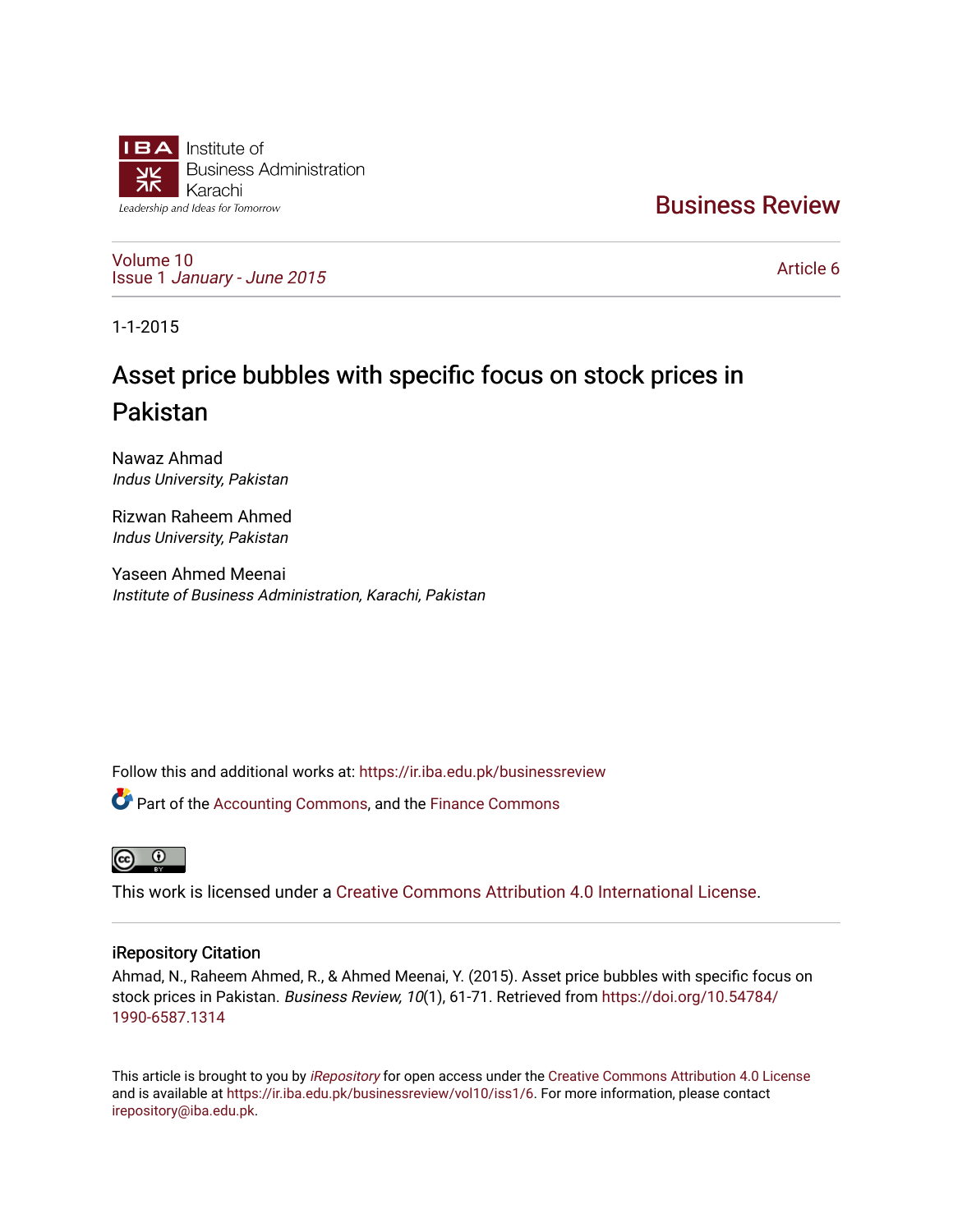

[Business Review](https://ir.iba.edu.pk/businessreview) 

[Volume 10](https://ir.iba.edu.pk/businessreview/vol10) Issue 1 [January - June 2015](https://ir.iba.edu.pk/businessreview/vol10/iss1) 

[Article 6](https://ir.iba.edu.pk/businessreview/vol10/iss1/6) 

1-1-2015

# Asset price bubbles with specific focus on stock prices in Pakistan

Nawaz Ahmad Indus University, Pakistan

Rizwan Raheem Ahmed Indus University, Pakistan

Yaseen Ahmed Meenai Institute of Business Administration, Karachi, Pakistan

Follow this and additional works at: [https://ir.iba.edu.pk/businessreview](https://ir.iba.edu.pk/businessreview?utm_source=ir.iba.edu.pk%2Fbusinessreview%2Fvol10%2Fiss1%2F6&utm_medium=PDF&utm_campaign=PDFCoverPages) 

Part of the [Accounting Commons](http://network.bepress.com/hgg/discipline/625?utm_source=ir.iba.edu.pk%2Fbusinessreview%2Fvol10%2Fiss1%2F6&utm_medium=PDF&utm_campaign=PDFCoverPages), and the [Finance Commons](http://network.bepress.com/hgg/discipline/345?utm_source=ir.iba.edu.pk%2Fbusinessreview%2Fvol10%2Fiss1%2F6&utm_medium=PDF&utm_campaign=PDFCoverPages) 



This work is licensed under a [Creative Commons Attribution 4.0 International License](https://creativecommons.org/licenses/by/4.0/).

# iRepository Citation

Ahmad, N., Raheem Ahmed, R., & Ahmed Meenai, Y. (2015). Asset price bubbles with specific focus on stock prices in Pakistan. Business Review, 10(1), 61-71. Retrieved from [https://doi.org/10.54784/](https://doi.org/10.54784/1990-6587.1314) [1990-6587.1314](https://doi.org/10.54784/1990-6587.1314) 

This article is brought to you by [iRepository](https://ir.iba.edu.pk/) for open access under the Creative Commons Attribution 4.0 License and is available at [https://ir.iba.edu.pk/businessreview/vol10/iss1/6.](https://ir.iba.edu.pk/businessreview/vol10/iss1/6) For more information, please contact [irepository@iba.edu.pk.](mailto:irepository@iba.edu.pk)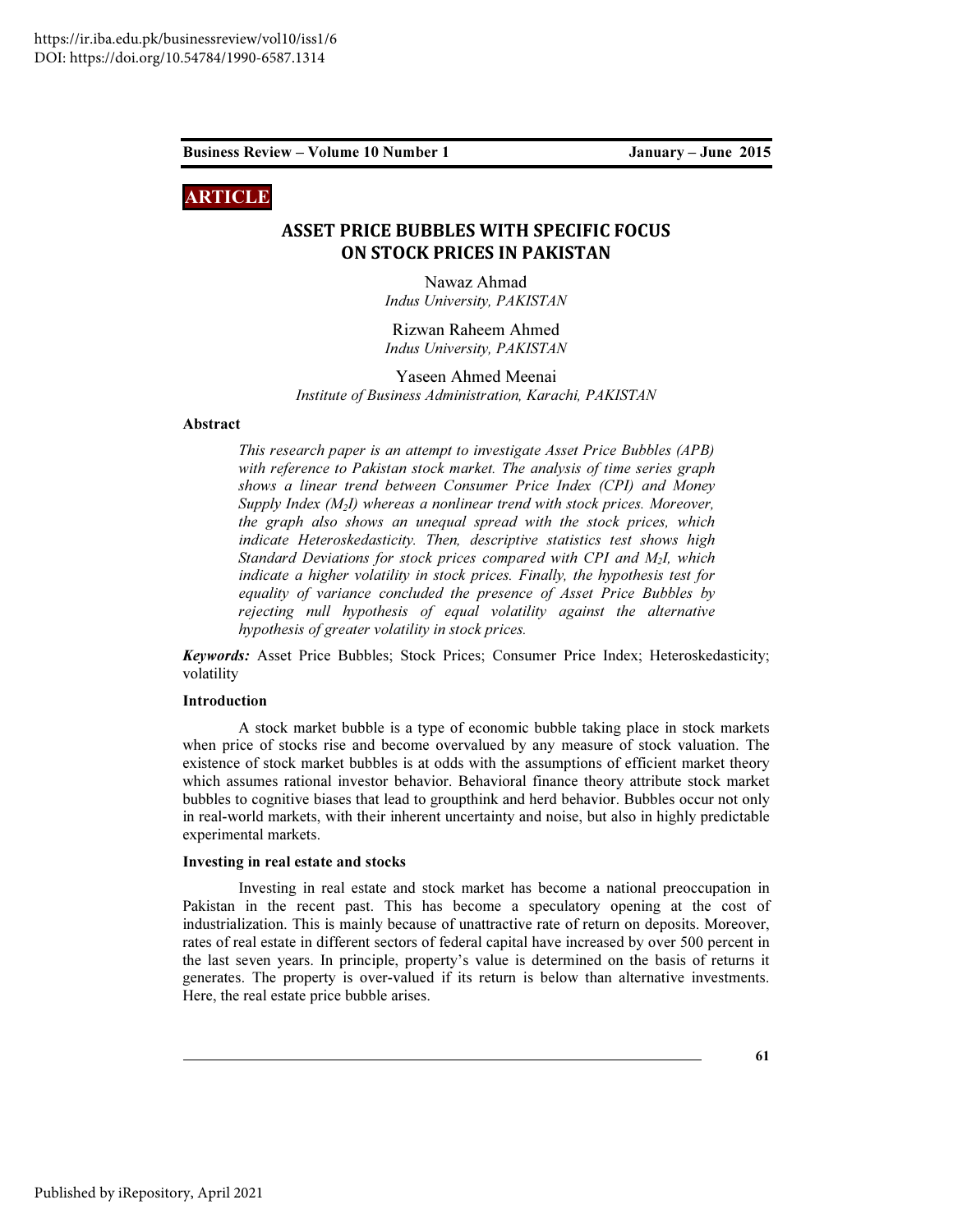# ARTICLE

# ASSET PRICE BUBBLES WITH SPECIFIC FOCUS ON STOCK PRICES IN PAKISTAN

Nawaz Ahmad Indus University, PAKISTAN

Rizwan Raheem Ahmed Indus University, PAKISTAN

Yaseen Ahmed Meenai Institute of Business Administration, Karachi, PAKISTAN

#### Abstract

This research paper is an attempt to investigate Asset Price Bubbles (APB) with reference to Pakistan stock market. The analysis of time series graph shows a linear trend between Consumer Price Index (CPI) and Money Supply Index  $(M_2I)$  whereas a nonlinear trend with stock prices. Moreover, the graph also shows an unequal spread with the stock prices, which indicate Heteroskedasticity. Then, descriptive statistics test shows high Standard Deviations for stock prices compared with CPI and  $M<sub>2</sub>$ I, which indicate a higher volatility in stock prices. Finally, the hypothesis test for equality of variance concluded the presence of Asset Price Bubbles by rejecting null hypothesis of equal volatility against the alternative hypothesis of greater volatility in stock prices.

Keywords: Asset Price Bubbles; Stock Prices; Consumer Price Index; Heteroskedasticity; volatility

# Introduction

A stock market bubble is a type of economic bubble taking place in stock markets when price of stocks rise and become overvalued by any measure of stock valuation. The existence of stock market bubbles is at odds with the assumptions of efficient market theory which assumes rational investor behavior. Behavioral finance theory attribute stock market bubbles to cognitive biases that lead to groupthink and herd behavior. Bubbles occur not only in real-world markets, with their inherent uncertainty and noise, but also in highly predictable experimental markets.

#### Investing in real estate and stocks

Investing in real estate and stock market has become a national preoccupation in Pakistan in the recent past. This has become a speculatory opening at the cost of industrialization. This is mainly because of unattractive rate of return on deposits. Moreover, rates of real estate in different sectors of federal capital have increased by over 500 percent in the last seven years. In principle, property's value is determined on the basis of returns it generates. The property is over-valued if its return is below than alternative investments. Here, the real estate price bubble arises.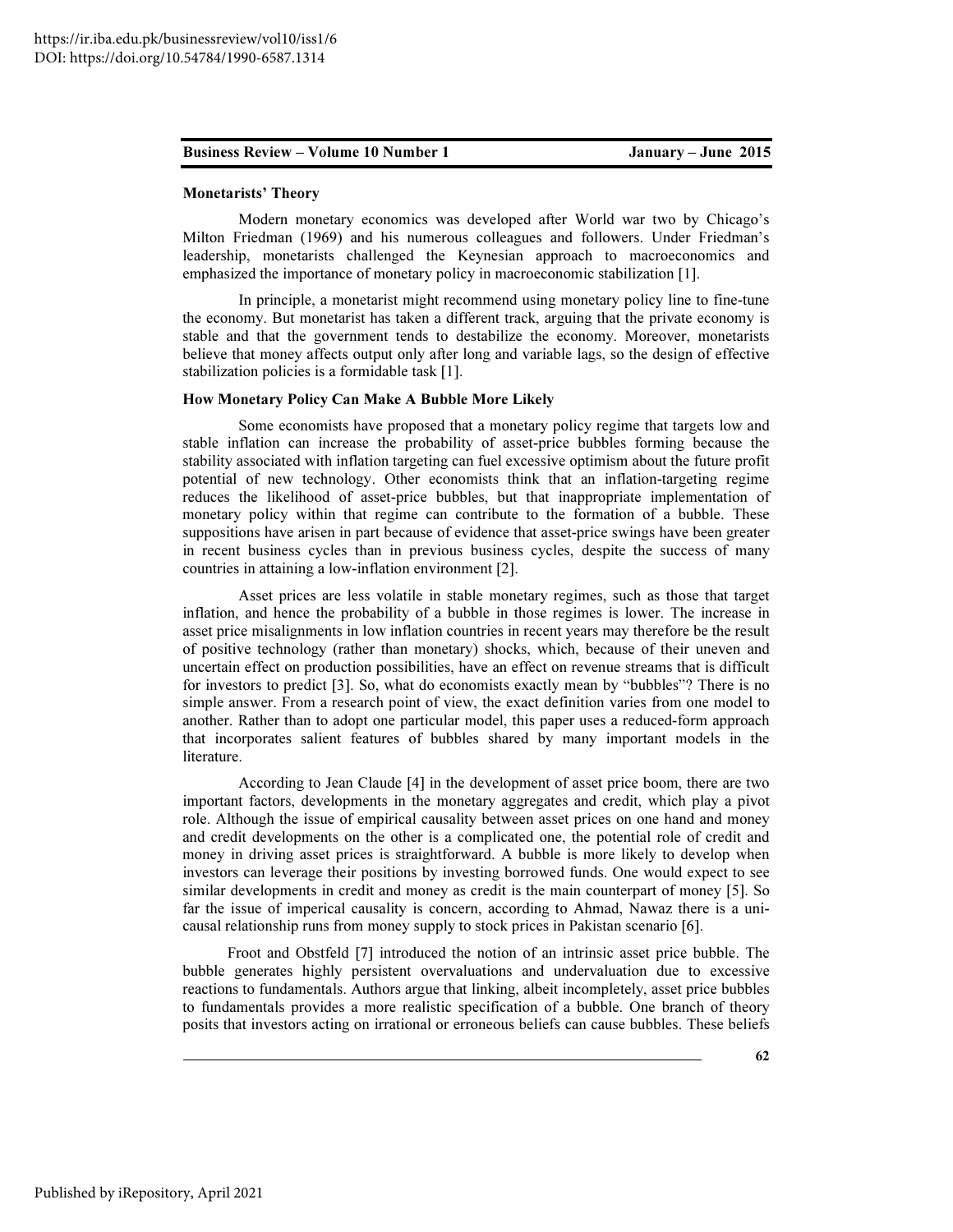#### Monetarists' Theory

Modern monetary economics was developed after World war two by Chicago's Milton Friedman (1969) and his numerous colleagues and followers. Under Friedman's leadership, monetarists challenged the Keynesian approach to macroeconomics and emphasized the importance of monetary policy in macroeconomic stabilization [1].

In principle, a monetarist might recommend using monetary policy line to fine-tune the economy. But monetarist has taken a different track, arguing that the private economy is stable and that the government tends to destabilize the economy. Moreover, monetarists believe that money affects output only after long and variable lags, so the design of effective stabilization policies is a formidable task [1].

#### How Monetary Policy Can Make A Bubble More Likely

Some economists have proposed that a monetary policy regime that targets low and stable inflation can increase the probability of asset-price bubbles forming because the stability associated with inflation targeting can fuel excessive optimism about the future profit potential of new technology. Other economists think that an inflation-targeting regime reduces the likelihood of asset-price bubbles, but that inappropriate implementation of monetary policy within that regime can contribute to the formation of a bubble. These suppositions have arisen in part because of evidence that asset-price swings have been greater in recent business cycles than in previous business cycles, despite the success of many countries in attaining a low-inflation environment [2].

Asset prices are less volatile in stable monetary regimes, such as those that target inflation, and hence the probability of a bubble in those regimes is lower. The increase in asset price misalignments in low inflation countries in recent years may therefore be the result of positive technology (rather than monetary) shocks, which, because of their uneven and uncertain effect on production possibilities, have an effect on revenue streams that is difficult for investors to predict [3]. So, what do economists exactly mean by "bubbles"? There is no simple answer. From a research point of view, the exact definition varies from one model to another. Rather than to adopt one particular model, this paper uses a reduced-form approach that incorporates salient features of bubbles shared by many important models in the literature.

According to Jean Claude [4] in the development of asset price boom, there are two important factors, developments in the monetary aggregates and credit, which play a pivot role. Although the issue of empirical causality between asset prices on one hand and money and credit developments on the other is a complicated one, the potential role of credit and money in driving asset prices is straightforward. A bubble is more likely to develop when investors can leverage their positions by investing borrowed funds. One would expect to see similar developments in credit and money as credit is the main counterpart of money [5]. So far the issue of imperical causality is concern, according to Ahmad, Nawaz there is a unicausal relationship runs from money supply to stock prices in Pakistan scenario [6].

Froot and Obstfeld [7] introduced the notion of an intrinsic asset price bubble. The bubble generates highly persistent overvaluations and undervaluation due to excessive reactions to fundamentals. Authors argue that linking, albeit incompletely, asset price bubbles to fundamentals provides a more realistic specification of a bubble. One branch of theory posits that investors acting on irrational or erroneous beliefs can cause bubbles. These beliefs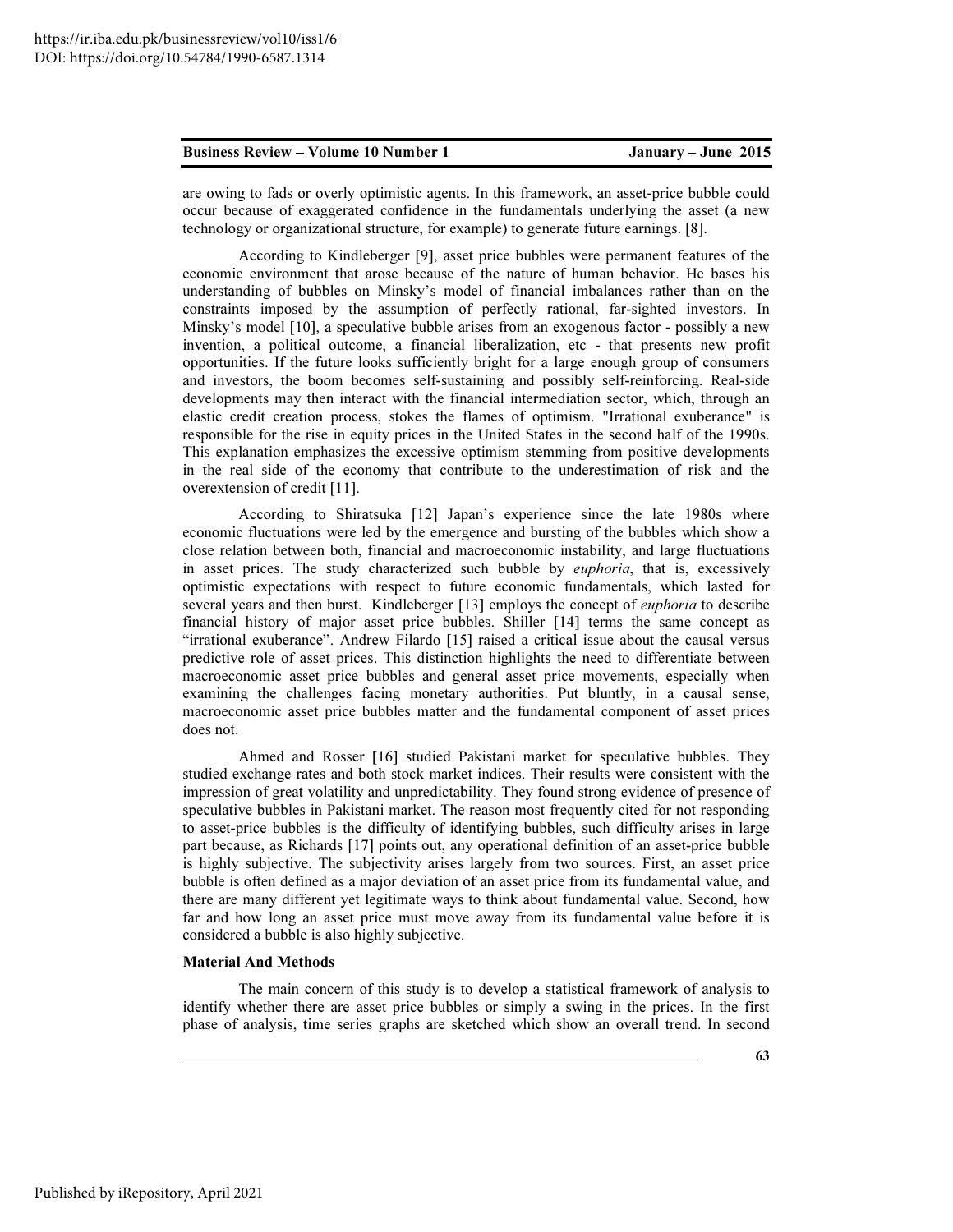are owing to fads or overly optimistic agents. In this framework, an asset-price bubble could occur because of exaggerated confidence in the fundamentals underlying the asset (a new technology or organizational structure, for example) to generate future earnings. [8].

According to Kindleberger [9], asset price bubbles were permanent features of the economic environment that arose because of the nature of human behavior. He bases his understanding of bubbles on Minsky's model of financial imbalances rather than on the constraints imposed by the assumption of perfectly rational, far-sighted investors. In Minsky's model [10], a speculative bubble arises from an exogenous factor - possibly a new invention, a political outcome, a financial liberalization, etc - that presents new profit opportunities. If the future looks sufficiently bright for a large enough group of consumers and investors, the boom becomes self-sustaining and possibly self-reinforcing. Real-side developments may then interact with the financial intermediation sector, which, through an elastic credit creation process, stokes the flames of optimism. "Irrational exuberance" is responsible for the rise in equity prices in the United States in the second half of the 1990s. This explanation emphasizes the excessive optimism stemming from positive developments in the real side of the economy that contribute to the underestimation of risk and the overextension of credit [11].

According to Shiratsuka [12] Japan's experience since the late 1980s where economic fluctuations were led by the emergence and bursting of the bubbles which show a close relation between both, financial and macroeconomic instability, and large fluctuations in asset prices. The study characterized such bubble by *euphoria*, that is, excessively optimistic expectations with respect to future economic fundamentals, which lasted for several years and then burst. Kindleberger [13] employs the concept of *euphoria* to describe financial history of major asset price bubbles. Shiller [14] terms the same concept as "irrational exuberance". Andrew Filardo [15] raised a critical issue about the causal versus predictive role of asset prices. This distinction highlights the need to differentiate between macroeconomic asset price bubbles and general asset price movements, especially when examining the challenges facing monetary authorities. Put bluntly, in a causal sense, macroeconomic asset price bubbles matter and the fundamental component of asset prices does not.

Ahmed and Rosser [16] studied Pakistani market for speculative bubbles. They studied exchange rates and both stock market indices. Their results were consistent with the impression of great volatility and unpredictability. They found strong evidence of presence of speculative bubbles in Pakistani market. The reason most frequently cited for not responding to asset-price bubbles is the difficulty of identifying bubbles, such difficulty arises in large part because, as Richards [17] points out, any operational definition of an asset-price bubble is highly subjective. The subjectivity arises largely from two sources. First, an asset price bubble is often defined as a major deviation of an asset price from its fundamental value, and there are many different yet legitimate ways to think about fundamental value. Second, how far and how long an asset price must move away from its fundamental value before it is considered a bubble is also highly subjective.

#### Material And Methods

The main concern of this study is to develop a statistical framework of analysis to identify whether there are asset price bubbles or simply a swing in the prices. In the first phase of analysis, time series graphs are sketched which show an overall trend. In second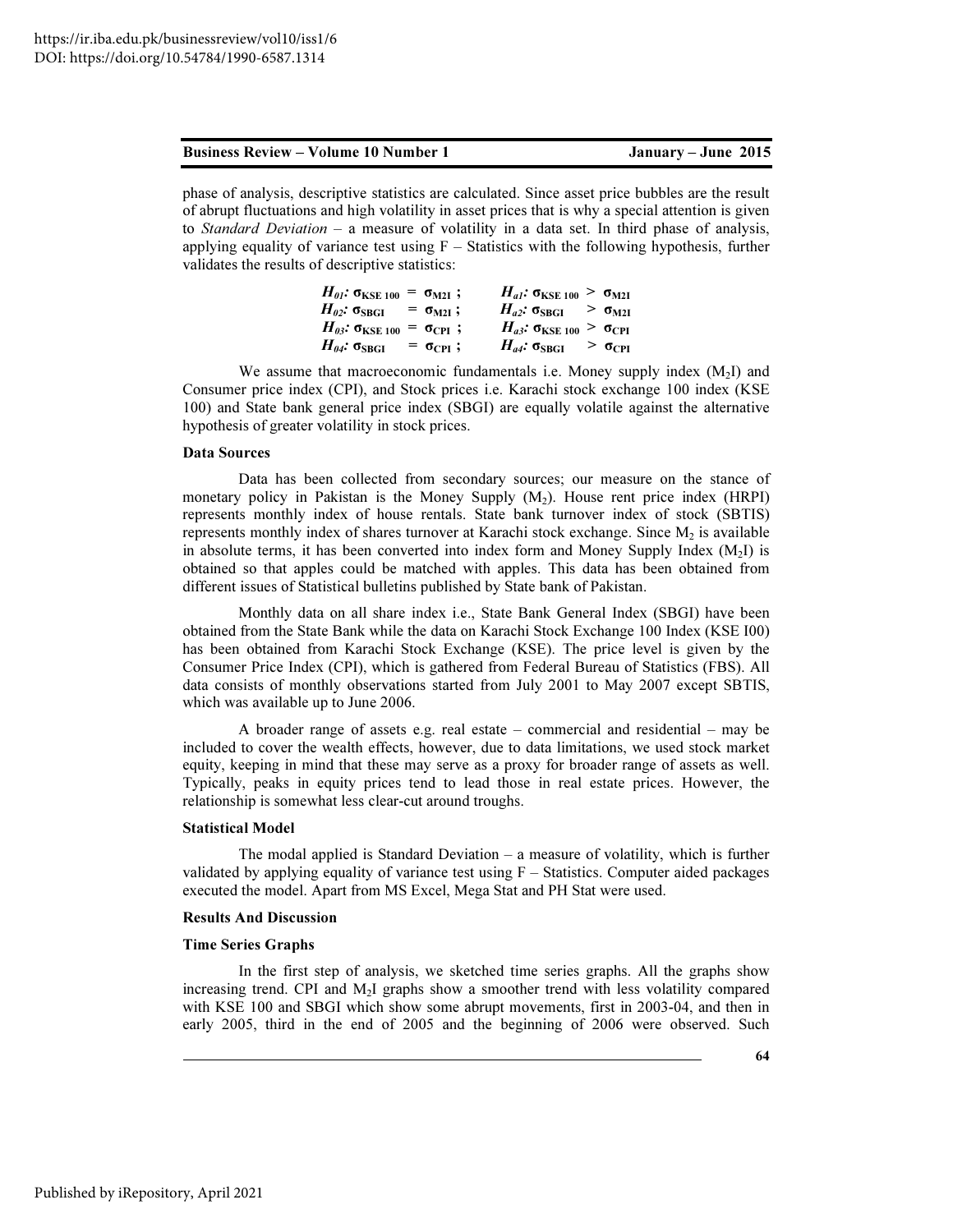| <b>Business Review – Volume 10 Number 1</b> |  |  |  |  |  |
|---------------------------------------------|--|--|--|--|--|
|---------------------------------------------|--|--|--|--|--|

phase of analysis, descriptive statistics are calculated. Since asset price bubbles are the result of abrupt fluctuations and high volatility in asset prices that is why a special attention is given to Standard Deviation – a measure of volatility in a data set. In third phase of analysis, applying equality of variance test using  $F -$  Statistics with the following hypothesis, further validates the results of descriptive statistics:

| $H_{01}$ : σ <sub>KSE 100</sub> = σ <sub>M2I</sub> ; |  | $H_{al}$ : $\sigma_{KSE 100} > \sigma_{M2I}$ |  |
|------------------------------------------------------|--|----------------------------------------------|--|
| $H_{02}$ : $\sigma_{SBGI}$ = $\sigma_{M2I}$ ;        |  | $H_{a2}$ : $\sigma_{SBGI}$ > $\sigma_{M2I}$  |  |
| $H_{03}$ : σ <sub>KSE 100</sub> = σ <sub>CPI</sub> ; |  | $H_{a3}$ : $\sigma_{KSE 100} > \sigma_{CPI}$ |  |
| $H_{04}$ : $\sigma_{SBGI}$ = $\sigma_{CPI}$ ;        |  | $H_{a4}: \sigma_{SBGI} > \sigma_{CPI}$       |  |

We assume that macroeconomic fundamentals i.e. Money supply index  $(M<sub>2</sub>I)$  and Consumer price index (CPI), and Stock prices i.e. Karachi stock exchange 100 index (KSE 100) and State bank general price index (SBGI) are equally volatile against the alternative hypothesis of greater volatility in stock prices.

# Data Sources

Data has been collected from secondary sources; our measure on the stance of monetary policy in Pakistan is the Money Supply  $(M_2)$ . House rent price index (HRPI) represents monthly index of house rentals. State bank turnover index of stock (SBTIS) represents monthly index of shares turnover at Karachi stock exchange. Since  $M<sub>2</sub>$  is available in absolute terms, it has been converted into index form and Money Supply Index  $(M<sub>2</sub>I)$  is obtained so that apples could be matched with apples. This data has been obtained from different issues of Statistical bulletins published by State bank of Pakistan.

Monthly data on all share index i.e., State Bank General Index (SBGI) have been obtained from the State Bank while the data on Karachi Stock Exchange 100 Index (KSE I00) has been obtained from Karachi Stock Exchange (KSE). The price level is given by the Consumer Price Index (CPI), which is gathered from Federal Bureau of Statistics (FBS). All data consists of monthly observations started from July 2001 to May 2007 except SBTIS, which was available up to June 2006.

A broader range of assets e.g. real estate – commercial and residential – may be included to cover the wealth effects, however, due to data limitations, we used stock market equity, keeping in mind that these may serve as a proxy for broader range of assets as well. Typically, peaks in equity prices tend to lead those in real estate prices. However, the relationship is somewhat less clear-cut around troughs.

#### Statistical Model

The modal applied is Standard Deviation  $-$  a measure of volatility, which is further validated by applying equality of variance test using  $F -$  Statistics. Computer aided packages executed the model. Apart from MS Excel, Mega Stat and PH Stat were used.

#### Results And Discussion

#### Time Series Graphs

In the first step of analysis, we sketched time series graphs. All the graphs show increasing trend. CPI and  $M<sub>2</sub>I$  graphs show a smoother trend with less volatility compared with KSE 100 and SBGI which show some abrupt movements, first in 2003-04, and then in early 2005, third in the end of 2005 and the beginning of 2006 were observed. Such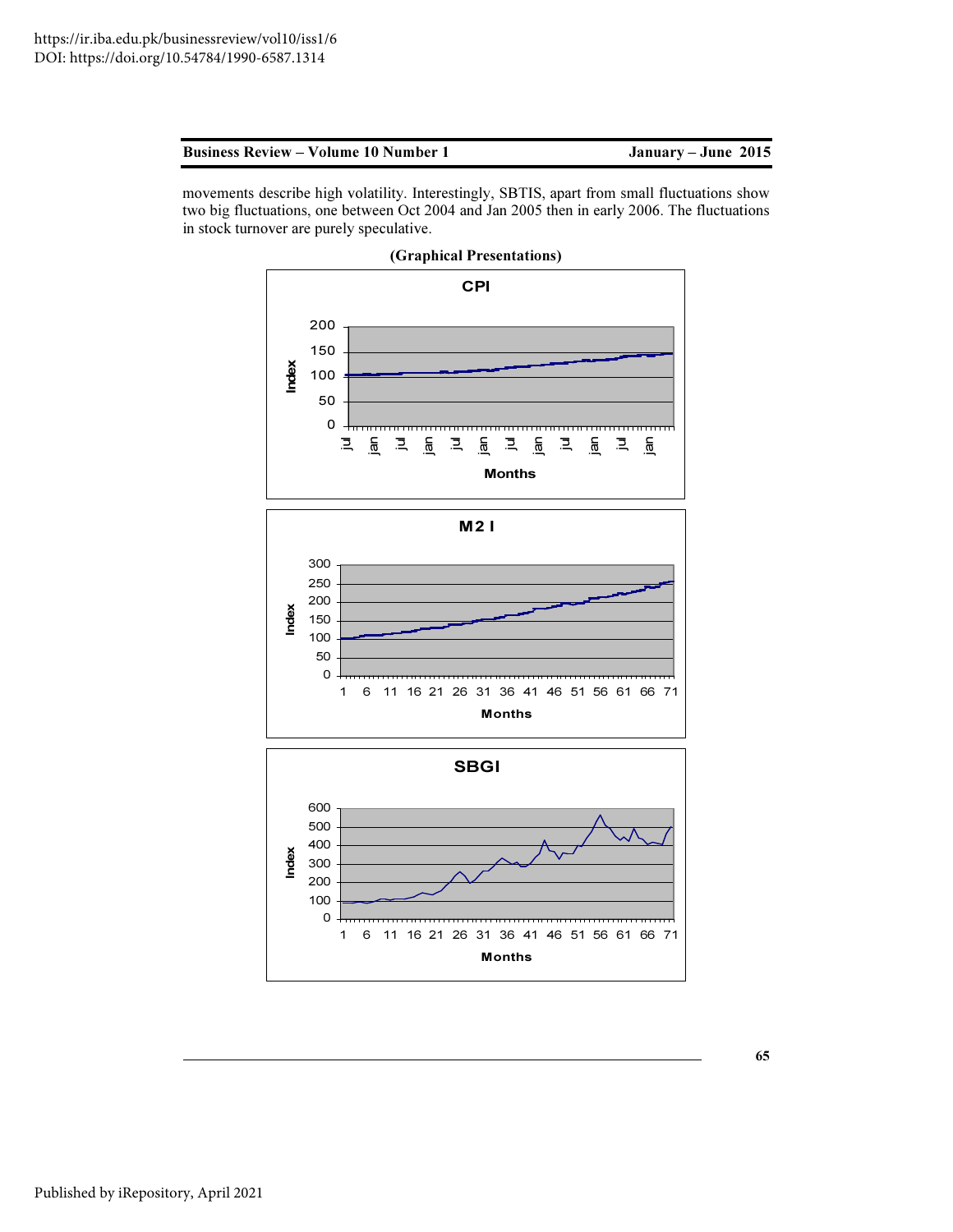| <b>Business Review – Volume 10 Number 1</b> |  |
|---------------------------------------------|--|
|---------------------------------------------|--|

January – June 2015

movements describe high volatility. Interestingly, SBTIS, apart from small fluctuations show two big fluctuations, one between Oct 2004 and Jan 2005 then in early 2006. The fluctuations in stock turnover are purely speculative.



65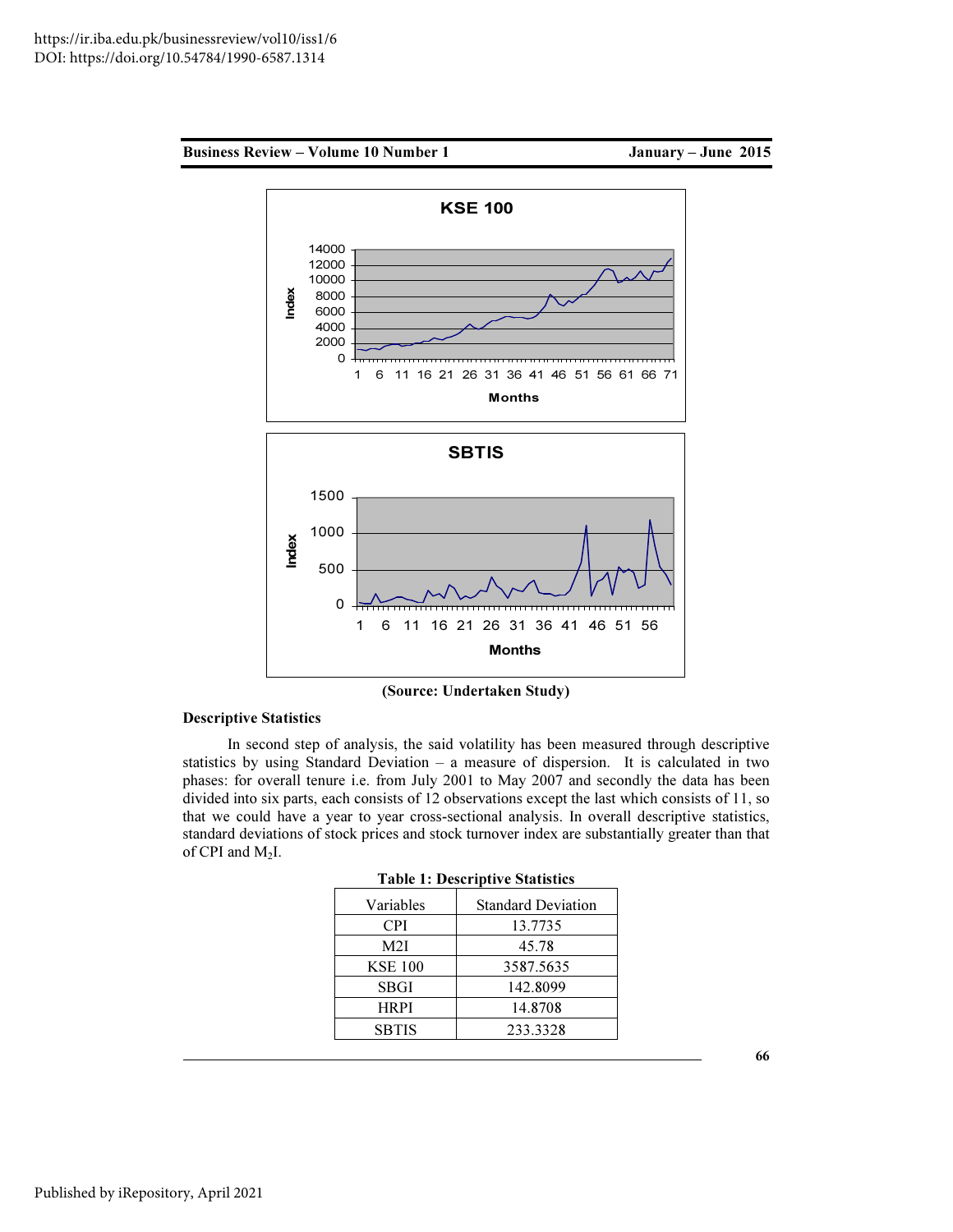



(Source: Undertaken Study)

# Descriptive Statistics

In second step of analysis, the said volatility has been measured through descriptive statistics by using Standard Deviation – a measure of dispersion. It is calculated in two phases: for overall tenure i.e. from July 2001 to May 2007 and secondly the data has been divided into six parts, each consists of 12 observations except the last which consists of 11, so that we could have a year to year cross-sectional analysis. In overall descriptive statistics, standard deviations of stock prices and stock turnover index are substantially greater than that of CPI and  $M_2I$ .

| Variables      | <b>Standard Deviation</b> |
|----------------|---------------------------|
| <b>CPI</b>     | 13.7735                   |
| M2I            | 45.78                     |
| <b>KSE 100</b> | 3587.5635                 |
| SBGI           | 142.8099                  |
| <b>HRPI</b>    | 14.8708                   |
| <b>SBTIS</b>   | 233.3328                  |
|                |                           |

Table 1: Descriptive Statistics

66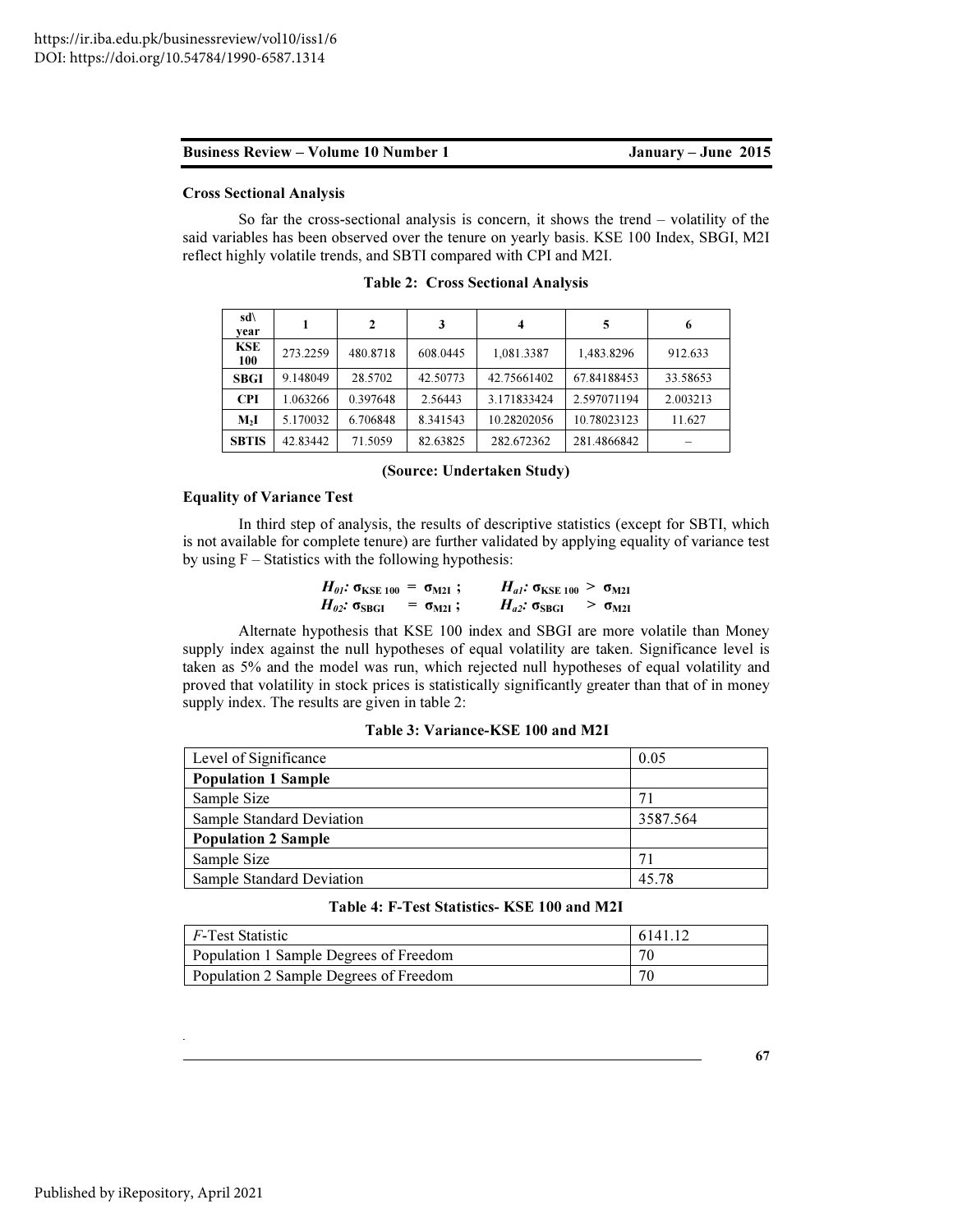#### Cross Sectional Analysis

So far the cross-sectional analysis is concern, it shows the trend – volatility of the said variables has been observed over the tenure on yearly basis. KSE 100 Index, SBGI, M2I reflect highly volatile trends, and SBTI compared with CPI and M2I.

| $sd\backslash$<br>vear |          | 2        | 3        | 4           | 5           | 6        |
|------------------------|----------|----------|----------|-------------|-------------|----------|
| <b>KSE</b><br>100      | 273.2259 | 480.8718 | 608.0445 | 1,081.3387  | 1,483.8296  | 912.633  |
| <b>SBGI</b>            | 9.148049 | 28.5702  | 42.50773 | 42.75661402 | 67.84188453 | 33.58653 |
| <b>CPI</b>             | 1.063266 | 0.397648 | 2.56443  | 3.171833424 | 2.597071194 | 2.003213 |
| M <sub>2</sub> I       | 5.170032 | 6.706848 | 8.341543 | 10.28202056 | 10.78023123 | 11.627   |
| <b>SBTIS</b>           | 42.83442 | 71.5059  | 82.63825 | 282.672362  | 281.4866842 |          |

Table 2: Cross Sectional Analysis

#### (Source: Undertaken Study)

#### Equality of Variance Test

In third step of analysis, the results of descriptive statistics (except for SBTI, which is not available for complete tenure) are further validated by applying equality of variance test by using  $F -$  Statistics with the following hypothesis:

| $H_{01}$ : $\sigma_{KSE 100} = \sigma_{M21}$ ; |                      | $H_{al}$ : $\sigma_{KSE 100} > \sigma_{M2I}$ |                         |
|------------------------------------------------|----------------------|----------------------------------------------|-------------------------|
| $H_{\theta 2}$ : σ $_{\rm SBGI}$               | $=$ $\sigma_{M2I}$ ; | $H_{a2}: \sigma_{SBGI}$                      | $> \sigma_{\text{M2I}}$ |

Alternate hypothesis that KSE 100 index and SBGI are more volatile than Money supply index against the null hypotheses of equal volatility are taken. Significance level is taken as 5% and the model was run, which rejected null hypotheses of equal volatility and proved that volatility in stock prices is statistically significantly greater than that of in money supply index. The results are given in table 2:

|  | Table 3: Variance-KSE 100 and M2I |  |
|--|-----------------------------------|--|
|  |                                   |  |

| Level of Significance            | 0.05     |
|----------------------------------|----------|
| <b>Population 1 Sample</b>       |          |
| Sample Size                      | 71       |
| Sample Standard Deviation        | 3587.564 |
| <b>Population 2 Sample</b>       |          |
| Sample Size                      | 71       |
| <b>Sample Standard Deviation</b> | 45.78    |

# Table 4: F-Test Statistics- KSE 100 and M2I

| $F$ -Test Statistic                    | 6141.12 |
|----------------------------------------|---------|
| Population 1 Sample Degrees of Freedom | 70      |
| Population 2 Sample Degrees of Freedom |         |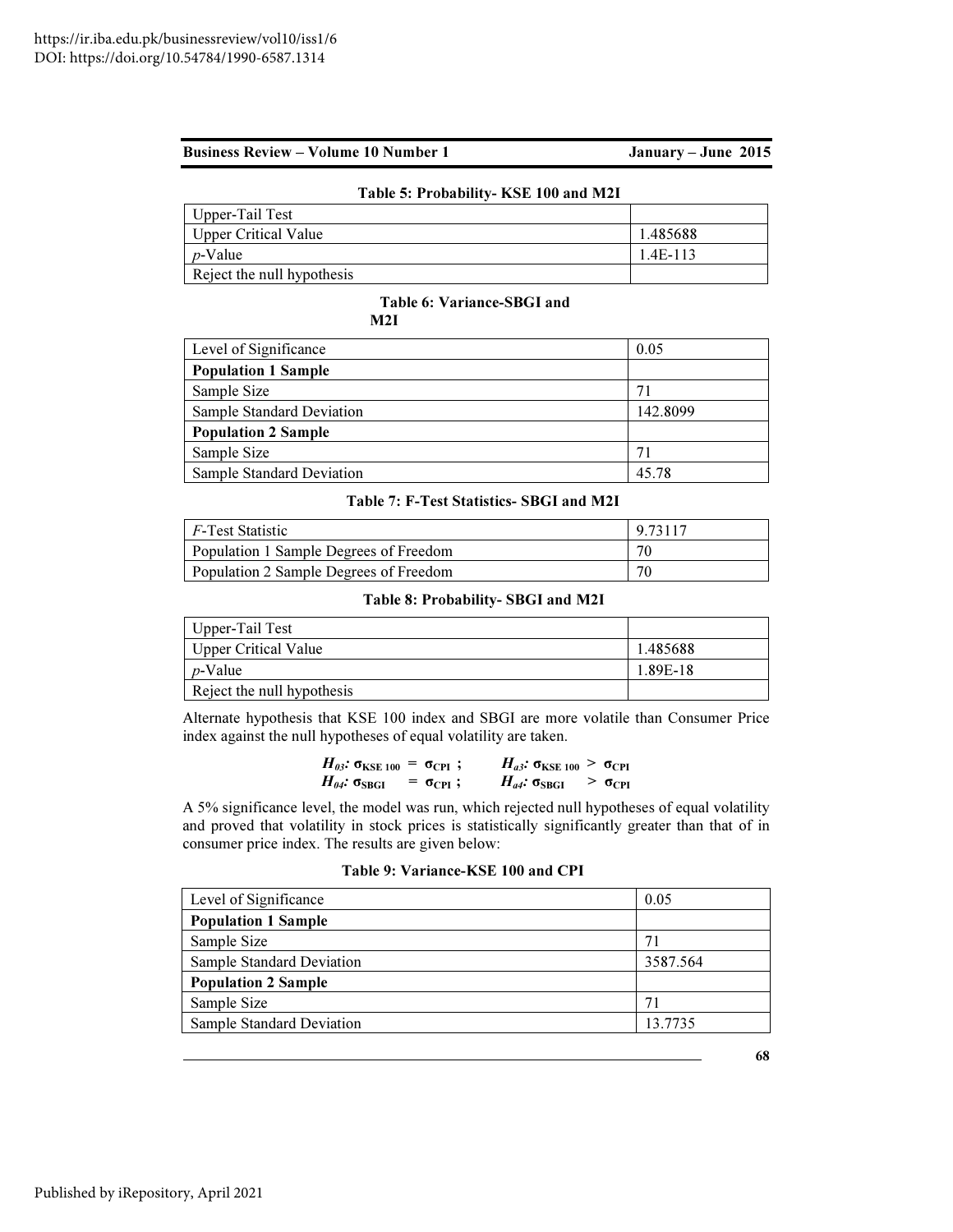| Table 5: Probability- KSE 100 and M2I |            |
|---------------------------------------|------------|
| Upper-Tail Test                       |            |
| Upper Critical Value                  | 1.485688   |
| <i>p</i> -Value                       | $1.4E-113$ |
| Reject the null hypothesis            |            |

#### Table 6: Variance-SBGI and M2I

| Level of Significance      | 0.05     |
|----------------------------|----------|
| <b>Population 1 Sample</b> |          |
| Sample Size                | 71       |
| Sample Standard Deviation  | 142.8099 |
| <b>Population 2 Sample</b> |          |
| Sample Size                | 71       |
| Sample Standard Deviation  | 45.78    |

Table 7: F-Test Statistics- SBGI and M2I

| F-Test Statistic                       | 9.73117 |
|----------------------------------------|---------|
| Population 1 Sample Degrees of Freedom | 70      |
| Population 2 Sample Degrees of Freedom | 70      |

# Table 8: Probability- SBGI and M2I

| Upper-Tail Test            |          |
|----------------------------|----------|
| Upper Critical Value       | 1.485688 |
| <i>p</i> -Value            | 1.89E-18 |
| Reject the null hypothesis |          |

Alternate hypothesis that KSE 100 index and SBGI are more volatile than Consumer Price index against the null hypotheses of equal volatility are taken.

| $H_{03}$ : σ <sub>KSE 100</sub> = σ <sub>CPI</sub> ; |                             |  | $H_{a3}: \sigma_{KSE 100} > \sigma_{CPI}$ |                      |
|------------------------------------------------------|-----------------------------|--|-------------------------------------------|----------------------|
| $H_{\theta 4}$ : о $_{\rm SBGI}$                     | $=$ $\sigma_{\text{CPI}}$ ; |  | $H_{a4}: \sigma_{SBGI}$                   | $> \sigma_{\rm CPI}$ |

A 5% significance level, the model was run, which rejected null hypotheses of equal volatility and proved that volatility in stock prices is statistically significantly greater than that of in consumer price index. The results are given below:

| Level of Significance      | 0.05     |
|----------------------------|----------|
| <b>Population 1 Sample</b> |          |
| Sample Size                | 71       |
| Sample Standard Deviation  | 3587.564 |
| <b>Population 2 Sample</b> |          |
| Sample Size                | 71       |
| Sample Standard Deviation  | 13.7735  |
|                            |          |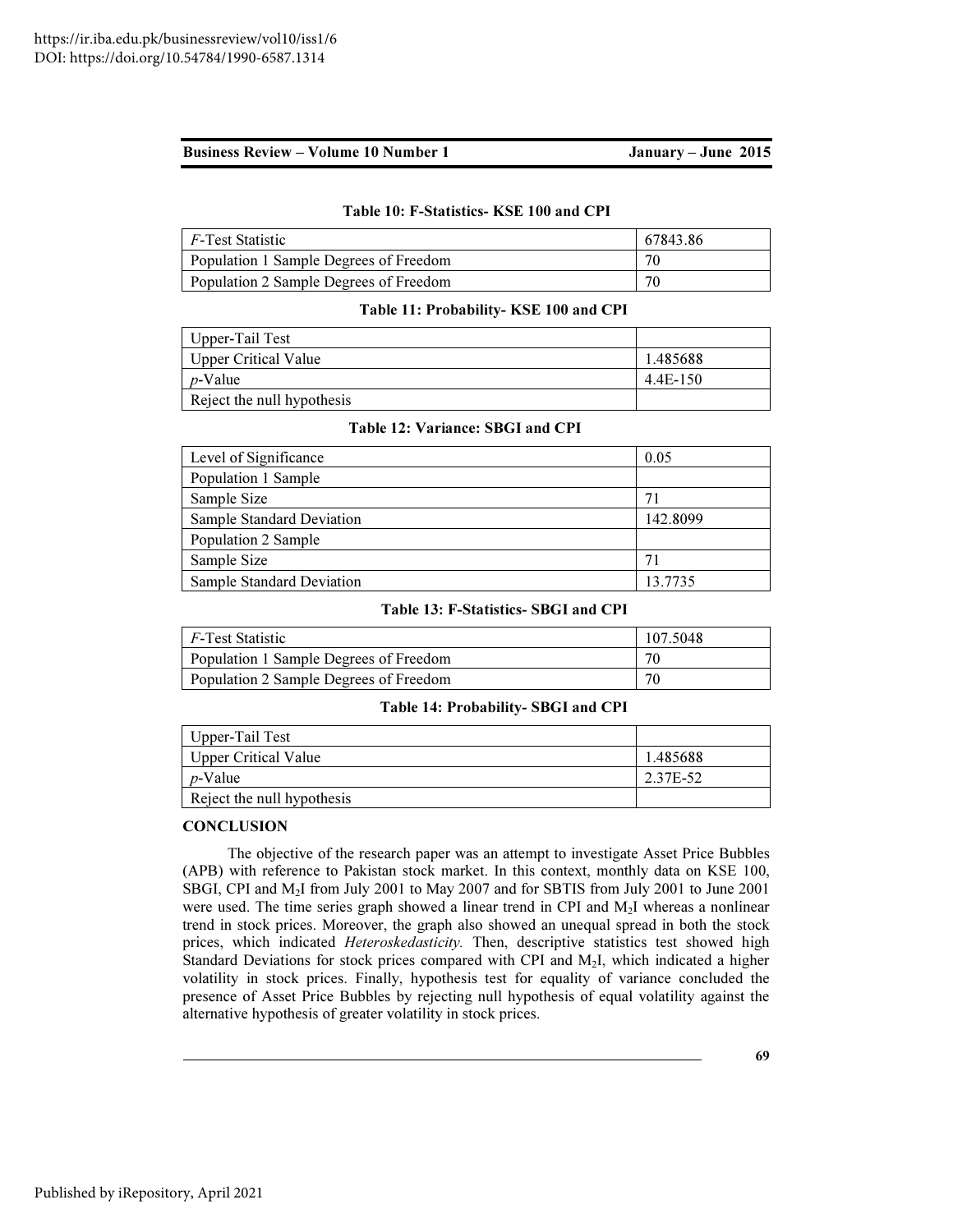#### Table 10: F-Statistics- KSE 100 and CPI

| F-Test Statistic                       | 67843.86 |
|----------------------------------------|----------|
| Population 1 Sample Degrees of Freedom | 70       |
| Population 2 Sample Degrees of Freedom |          |

#### Table 11: Probability- KSE 100 and CPI

| Upper-Tail Test            |          |
|----------------------------|----------|
| Upper Critical Value       | 1.485688 |
| <i>p</i> -Value            | 4.4E-150 |
| Reject the null hypothesis |          |

# Table 12: Variance: SBGI and CPI

| Level of Significance            | 0.05     |
|----------------------------------|----------|
| Population 1 Sample              |          |
| Sample Size                      |          |
| <b>Sample Standard Deviation</b> | 142.8099 |
| Population 2 Sample              |          |
| Sample Size                      | 71       |
| <b>Sample Standard Deviation</b> | 13.7735  |

### Table 13: F-Statistics- SBGI and CPI

| <i>F</i> -Test Statistic               | 107.5048 |
|----------------------------------------|----------|
| Population 1 Sample Degrees of Freedom | 70       |
| Population 2 Sample Degrees of Freedom | 70       |

#### Table 14: Probability- SBGI and CPI

| Upper-Tail Test            |          |
|----------------------------|----------|
| Upper Critical Value       | 1.485688 |
| <i>p</i> -Value            | 2.37E-52 |
| Reject the null hypothesis |          |

### **CONCLUSION**

The objective of the research paper was an attempt to investigate Asset Price Bubbles (APB) with reference to Pakistan stock market. In this context, monthly data on KSE 100, SBGI, CPI and M2I from July 2001 to May 2007 and for SBTIS from July 2001 to June 2001 were used. The time series graph showed a linear trend in CPI and M2I whereas a nonlinear trend in stock prices. Moreover, the graph also showed an unequal spread in both the stock prices, which indicated *Heteroskedasticity*. Then, descriptive statistics test showed high Standard Deviations for stock prices compared with CPI and M<sub>2</sub>I, which indicated a higher volatility in stock prices. Finally, hypothesis test for equality of variance concluded the presence of Asset Price Bubbles by rejecting null hypothesis of equal volatility against the alternative hypothesis of greater volatility in stock prices.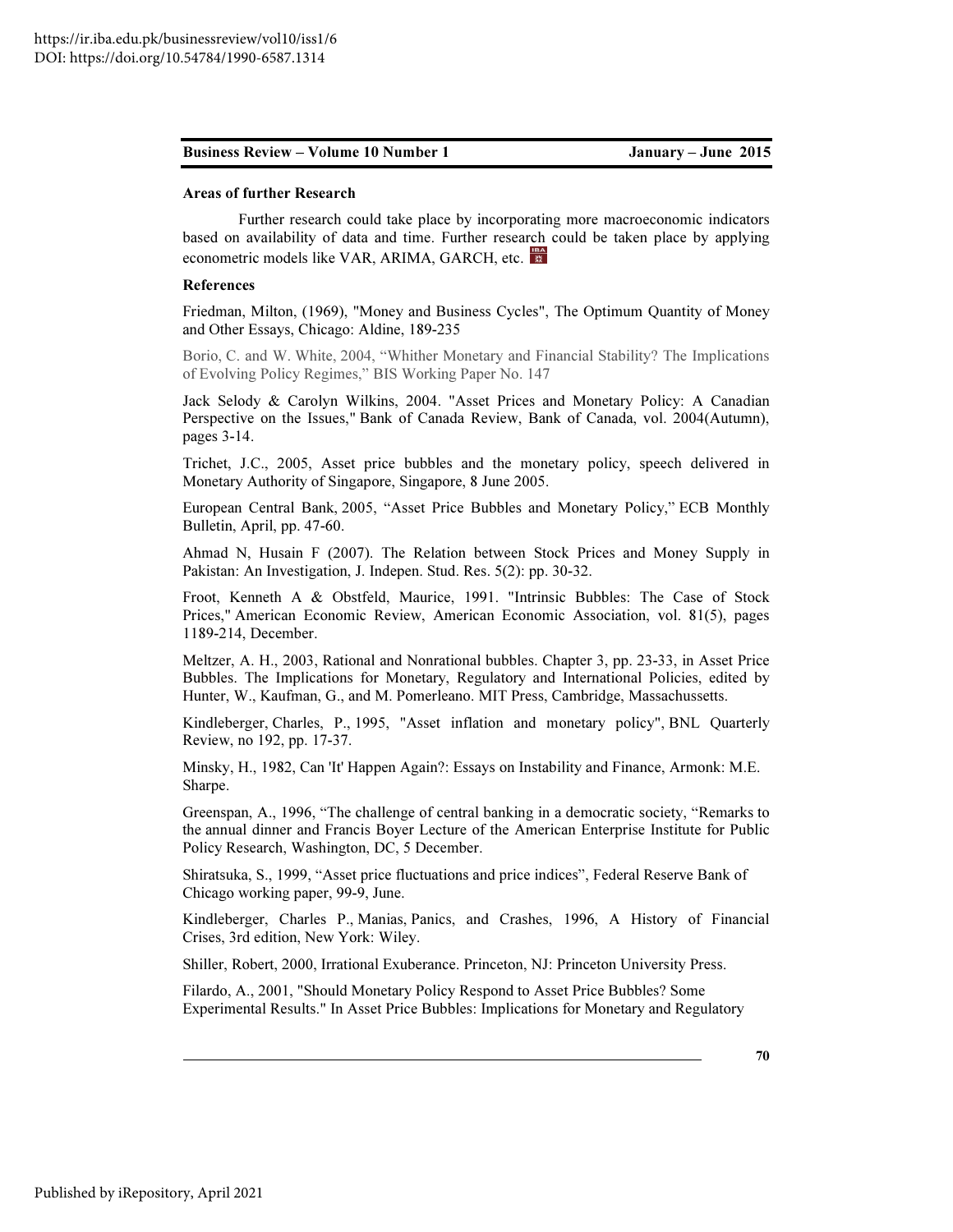#### Areas of further Research

Further research could take place by incorporating more macroeconomic indicators based on availability of data and time. Further research could be taken place by applying econometric models like VAR, ARIMA, GARCH, etc.

#### References

Friedman, Milton, (1969), "Money and Business Cycles", The Optimum Quantity of Money and Other Essays, Chicago: Aldine, 189-235

Borio, C. and W. White, 2004, "Whither Monetary and Financial Stability? The Implications of Evolving Policy Regimes," BIS Working Paper No. 147

Jack Selody & Carolyn Wilkins, 2004. "Asset Prices and Monetary Policy: A Canadian Perspective on the Issues," Bank of Canada Review, Bank of Canada, vol. 2004(Autumn), pages 3-14.

Trichet, J.C., 2005, Asset price bubbles and the monetary policy, speech delivered in Monetary Authority of Singapore, Singapore, 8 June 2005.

European Central Bank, 2005, "Asset Price Bubbles and Monetary Policy," ECB Monthly Bulletin, April, pp. 47-60.

Ahmad N, Husain F (2007). The Relation between Stock Prices and Money Supply in Pakistan: An Investigation, J. Indepen. Stud. Res. 5(2): pp. 30-32.

Froot, Kenneth A & Obstfeld, Maurice, 1991. "Intrinsic Bubbles: The Case of Stock Prices," American Economic Review, American Economic Association, vol. 81(5), pages 1189-214, December.

Meltzer, A. H., 2003, Rational and Nonrational bubbles. Chapter 3, pp. 23-33, in Asset Price Bubbles. The Implications for Monetary, Regulatory and International Policies, edited by Hunter, W., Kaufman, G., and M. Pomerleano. MIT Press, Cambridge, Massachussetts.

Kindleberger, Charles, P., 1995, "Asset inflation and monetary policy", BNL Quarterly Review, no 192, pp. 17-37.

Minsky, H., 1982, Can 'It' Happen Again?: Essays on Instability and Finance, Armonk: M.E. Sharpe.

Greenspan, A., 1996, "The challenge of central banking in a democratic society, "Remarks to the annual dinner and Francis Boyer Lecture of the American Enterprise Institute for Public Policy Research, Washington, DC, 5 December.

Shiratsuka, S., 1999, "Asset price fluctuations and price indices", Federal Reserve Bank of Chicago working paper, 99-9, June.

Kindleberger, Charles P., Manias, Panics, and Crashes, 1996, A History of Financial Crises, 3rd edition, New York: Wiley.

Shiller, Robert, 2000, Irrational Exuberance. Princeton, NJ: Princeton University Press.

Filardo, A., 2001, "Should Monetary Policy Respond to Asset Price Bubbles? Some Experimental Results." In Asset Price Bubbles: Implications for Monetary and Regulatory